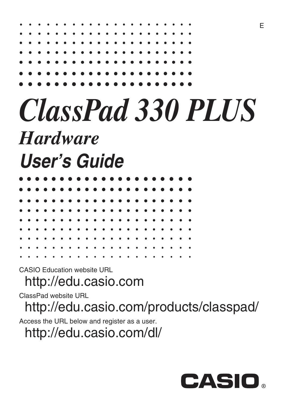| . |  |  |  |  |  |  |  |  |  |  |
|---|--|--|--|--|--|--|--|--|--|--|
|   |  |  |  |  |  |  |  |  |  |  |
|   |  |  |  |  |  |  |  |  |  |  |
|   |  |  |  |  |  |  |  |  |  |  |
|   |  |  |  |  |  |  |  |  |  |  |
|   |  |  |  |  |  |  |  |  |  |  |
|   |  |  |  |  |  |  |  |  |  |  |
|   |  |  |  |  |  |  |  |  |  |  |

## *ClassPad 330 PLUS Hardware User's Guide*

|  |  |  |  |  |  |  |  |   | . |           |
|--|--|--|--|--|--|--|--|---|---|-----------|
|  |  |  |  |  |  |  |  |   | . |           |
|  |  |  |  |  |  |  |  |   | . |           |
|  |  |  |  |  |  |  |  |   | . |           |
|  |  |  |  |  |  |  |  |   |   |           |
|  |  |  |  |  |  |  |  |   |   |           |
|  |  |  |  |  |  |  |  |   |   |           |
|  |  |  |  |  |  |  |  |   |   |           |
|  |  |  |  |  |  |  |  | . |   | $\bullet$ |

CASIO Education website URL

<http://edu.casio.com>

ClassPad website URL

<http://edu.casio.com/products/classpad/>

Access the URL below and register as a user.

<http://edu.casio.com/dl/>



E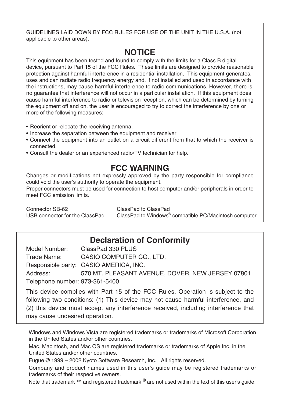GUIDELINES LAID DOWN BY FCC RULES FOR USE OF THE UNIT IN THE U.S.A. (not applicable to other areas).

#### **NOTICE**

This equipment has been tested and found to comply with the limits for a Class B digital device, pursuant to Part 15 of the FCC Rules. These limits are designed to provide reasonable protection against harmful interference in a residential installation. This equipment generates, uses and can radiate radio frequency energy and, if not installed and used in accordance with the instructions, may cause harmful interference to radio communications. However, there is no guarantee that interference will not occur in a particular installation. If this equipment does cause harmful interference to radio or television reception, which can be determined by turning the equipment off and on, the user is encouraged to try to correct the interference by one or more of the following measures:

- Reorient or relocate the receiving antenna.
- Increase the separation between the equipment and receiver.
- Connect the equipment into an outlet on a circuit different from that to which the receiver is connected.
- Consult the dealer or an experienced radio/TV technician for help.

#### **FCC WARNING**

Changes or modifications not expressly approved by the party responsible for compliance could void the user's authority to operate the equipment.

Proper connectors must be used for connection to host computer and/or peripherals in order to meet FCC emission limits.

Connector SB-62 ClassPad to ClassPad USB connector for the ClassPad

ClassPad to Windows<sup>®</sup> compatible PC/Macintosh computer

#### **Declaration of Conformity**

Model Number: ClassPad 330 PLUS Trade Name: CASIO COMPUTER CO., LTD. Responsible party: CASIO AMERICA, INC. Address: 570 MT. PLEASANT AVENUE, DOVER, NEW JERSEY 07801 Telephone number: 973-361-5400

This device complies with Part 15 of the FCC Rules. Operation is subject to the following two conditions: (1) This device may not cause harmful interference, and (2) this device must accept any interference received, including interference that may cause undesired operation.

Windows and Windows Vista are registered trademarks or trademarks of Microsoft Corporation in the United States and/or other countries.

Mac, Macintosh, and Mac OS are registered trademarks or trademarks of Apple Inc. in the United States and/or other countries.

Fugue © 1999 – 2002 Kyoto Software Research, Inc. All rights reserved.

Company and product names used in this user's guide may be registered trademarks or trademarks of their respective owners.

Note that trademark ™ and registered trademark ® are not used within the text of this user's quide.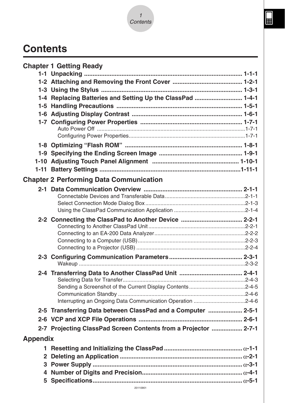

## **Contents**

|                 | <b>Chapter 1 Getting Ready</b>                                  |
|-----------------|-----------------------------------------------------------------|
|                 |                                                                 |
|                 |                                                                 |
|                 |                                                                 |
|                 | 1-4 Replacing Batteries and Setting Up the ClassPad  1-4-1      |
|                 |                                                                 |
|                 |                                                                 |
|                 |                                                                 |
|                 |                                                                 |
|                 |                                                                 |
|                 |                                                                 |
|                 |                                                                 |
|                 |                                                                 |
|                 |                                                                 |
|                 | <b>Chapter 2 Performing Data Communication</b>                  |
|                 |                                                                 |
|                 |                                                                 |
|                 |                                                                 |
|                 |                                                                 |
|                 | 2-2 Connecting the ClassPad to Another Device  2-2-1            |
|                 |                                                                 |
|                 |                                                                 |
|                 |                                                                 |
|                 |                                                                 |
|                 |                                                                 |
|                 |                                                                 |
|                 |                                                                 |
|                 |                                                                 |
|                 |                                                                 |
|                 |                                                                 |
|                 | 2-5 Transferring Data between ClassPad and a Computer  2-5-1    |
|                 |                                                                 |
|                 | 2-7 Projecting ClassPad Screen Contents from a Projector  2-7-1 |
| <b>Appendix</b> |                                                                 |
| 1.              |                                                                 |
| $\mathbf{2}$    |                                                                 |
|                 |                                                                 |
|                 |                                                                 |
|                 |                                                                 |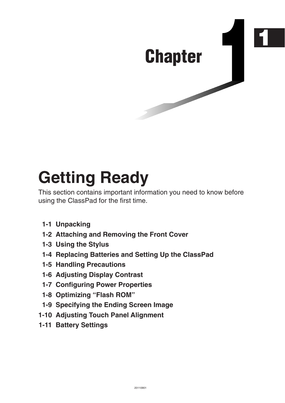# <span id="page-3-0"></span>**1 Chapter**

## **Getting Ready**

This section contains important information you need to know before using the ClassPad for the first time.

- **[1-1 Unpacking](#page-4-0)**
- **[1-2 Attaching and Removing the Front Cover](#page-5-0)**
- **[1-3 Using the Stylus](#page-6-0)**
- **[1-4 Replacing Batteries and Setting Up the ClassPad](#page-7-0)**
- **[1-5 Handling Precautions](#page-11-0)**
- **[1-6 Adjusting Display Contrast](#page-13-0)**
- **[1-7 Configuring Power Properties](#page-14-0)**
- **[1-8 Optimizing "Flash ROM"](#page-15-0)**
- **[1-9 Specifying the Ending Screen Image](#page-16-0)**
- **[1-10 Adjusting Touch Panel Alignment](#page-17-0)**
- **[1-11 Battery Settings](#page-18-0)**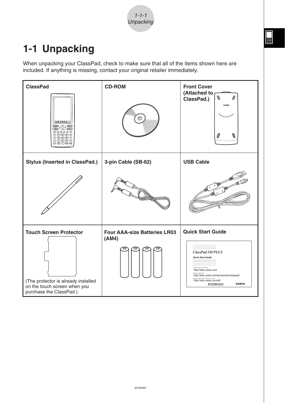$1 - 1 - 1$ **Unpacking** 

圌

## <span id="page-4-0"></span>**1-1 Unpacking**

When unpacking your ClassPad, check to make sure that all of the items shown here are included. If anything is missing, contact your original retailer immediately.

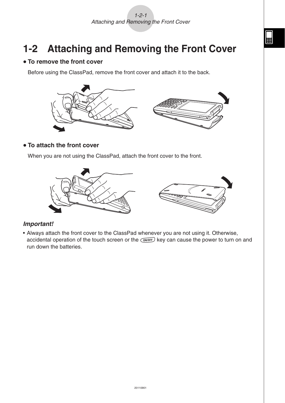## <span id="page-5-0"></span>**1-2 Attaching and Removing the Front Cover**

#### $\bullet$  **To remove the front cover**

Before using the ClassPad, remove the front cover and attach it to the back.



#### **• To attach the front cover**

When you are not using the ClassPad, attach the front cover to the front.



#### *Important!*

• Always attach the front cover to the ClassPad whenever you are not using it. Otherwise, accidental operation of the touch screen or the  $\widehat{(\text{upper})}$  key can cause the power to turn on and run down the batteries.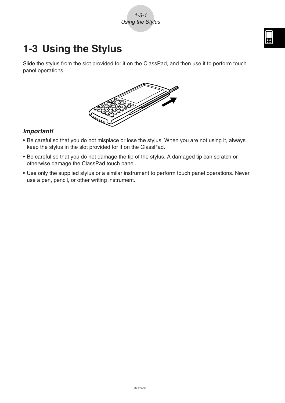1-3-1 Using the Stylus

## <span id="page-6-0"></span>**1-3 Using the Stylus**

Slide the stylus from the slot provided for it on the ClassPad, and then use it to perform touch panel operations.



#### *Important!*

- Be careful so that you do not misplace or lose the stylus. When you are not using it, always keep the stylus in the slot provided for it on the ClassPad.
- Be careful so that you do not damage the tip of the stylus. A damaged tip can scratch or otherwise damage the ClassPad touch panel.
- Use only the supplied stylus or a similar instrument to perform touch panel operations. Never use a pen, pencil, or other writing instrument.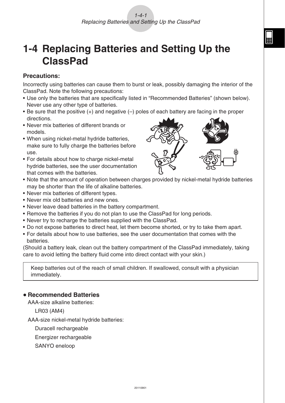### <span id="page-7-0"></span>**1-4 Replacing Batteries and Setting Up the ClassPad**

#### **Precautions:**

Incorrectly using batteries can cause them to burst or leak, possibly damaging the interior of the ClassPad. Note the following precautions:

- Use only the batteries that are specifically listed in "Recommended Batteries" (shown below). Never use any other type of batteries.
- Be sure that the positive (+) and negative (–) poles of each battery are facing in the proper directions.
- Never mix batteries of different brands or models.
- When using nickel-metal hydride batteries, make sure to fully charge the batteries before use.
- For details about how to charge nickel-metal hydride batteries, see the user documentation that comes with the batteries.



- Note that the amount of operation between charges provided by nickel-metal hydride batteries may be shorter than the life of alkaline batteries.
- Never mix batteries of different types.
- Never mix old batteries and new ones.
- Never leave dead batteries in the battery compartment.
- Remove the batteries if you do not plan to use the ClassPad for long periods.
- Never try to recharge the batteries supplied with the ClassPad.
- Do not expose batteries to direct heat, let them become shorted, or try to take them apart.
- For details about how to use batteries, see the user documentation that comes with the batteries.

(Should a battery leak, clean out the battery compartment of the ClassPad immediately, taking care to avoid letting the battery fluid come into direct contact with your skin.)

Keep batteries out of the reach of small children. If swallowed, consult with a physician immediately.

#### **• Recommended Batteries**

AAA-size alkaline batteries:

LR03 (AM4)

AAA-size nickel-metal hydride batteries:

Duracell rechargeable

Energizer rechargeable

SANYO eneloop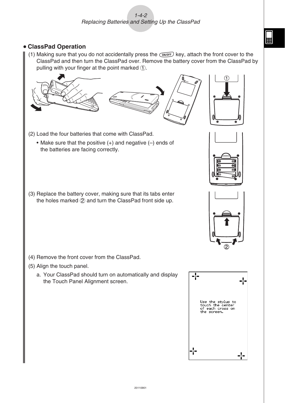#### u **ClassPad Operation**

(1) Making sure that you do not accidentally press the  $\widehat{C}$  key, attach the front cover to the ClassPad and then turn the ClassPad over. Remove the battery cover from the ClassPad by pulling with your finger at the point marked  $(1)$ .



- (2) Load the four batteries that come with ClassPad.
	- Make sure that the positive  $(+)$  and negative  $(-)$  ends of the batteries are facing correctly.
- (3) Replace the battery cover, making sure that its tabs enter the holes marked  $(2)$  and turn the ClassPad front side up.



- (5) Align the touch panel.
	- a. Your ClassPad should turn on automatically and display the Touch Panel Alignment screen.







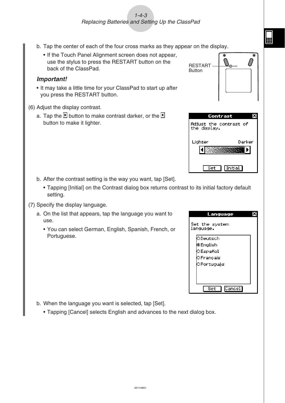#### $1 - 4 - 3$ Replacing Batteries and Setting Up the ClassPad

- b. Tap the center of each of the four cross marks as they appear on the display.
	- If the Touch Panel Alignment screen does not appear, use the stylus to press the RESTART button on the back of the ClassPad.

#### *Important!*

- It may take a little time for your ClassPad to start up after you press the RESTART button.
- (6) Adjust the display contrast.
	- a. Tap the **button to make contrast darker**, or the **b** button to make it lighter.

- b. After the contrast setting is the way you want, tap [Set].
	- Tapping [Initial] on the Contrast dialog box returns contrast to its initial factory default setting.
- (7) Specify the display language.
	- a. On the list that appears, tap the language you want to use.
		- You can select German, English, Spanish, French, or Portuguese.



RESTART **Button** 

the display.

Set

Lighter

 $\int_{\bigodot_{\text{resmax}}}$ 

Contrast Adjust the contrast of

 $\ell$ 

Darker

Þ

**SANSKE STATE** 

**Initial** 

- b. When the language you want is selected, tap [Set].
	- Tapping [Cancel] selects English and advances to the next dialog box.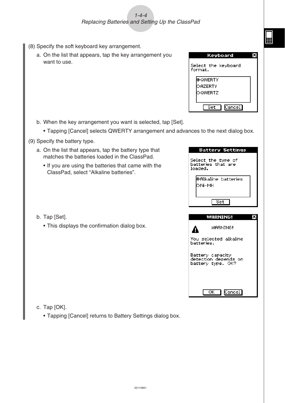#### $1 - 4 - 4$ Replacing Batteries and Setting Up the ClassPad

- (8) Specify the soft keyboard key arrangement.
	- a. On the list that appears, tap the key arrangement you want to use.

| Keyboard                       |  |
|--------------------------------|--|
| Select the keyboard<br>format. |  |
| l⊛QWERTY                       |  |
| OAZERTY                        |  |
| OQWERTZ                        |  |
|                                |  |
| Cancell<br>Set                 |  |

**Battery Settings** 

囲

b. When the key arrangement you want is selected, tap [Set].

- Tapping [Cancel] selects QWERTY arrangement and advances to the next dialog box.
- (9) Specify the battery type.
	- a. On the list that appears, tap the battery type that matches the batteries loaded in the ClassPad.
		- If you are using the batteries that came with the ClassPad, select "Alkaline batteries".
- Select the type of<br>batteries that are loaded. **OAlkaline** batteries юмі-мн  $Set$ WARNING! x WARNING! А You selected alkaline batteries. Battery capacity detection depends on battery type. OK?  $\overline{\alpha}$ Cancel
- b. Tap [Set].
	- This displays the confirmation dialog box.

- c. Tap [OK].
	- Tapping [Cancel] returns to Battery Settings dialog box.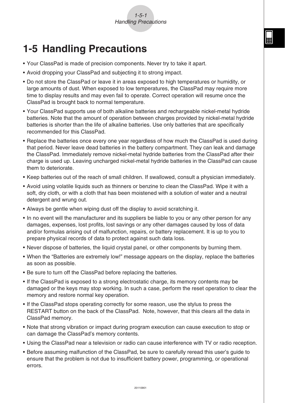#### 1-5-1 Handling Precautions

## <span id="page-11-0"></span>**1-5 Handling Precautions**

- Your ClassPad is made of precision components. Never try to take it apart.
- Avoid dropping your ClassPad and subjecting it to strong impact.
- Do not store the ClassPad or leave it in areas exposed to high temperatures or humidity, or large amounts of dust. When exposed to low temperatures, the ClassPad may require more time to display results and may even fail to operate. Correct operation will resume once the ClassPad is brought back to normal temperature.
- Your ClassPad supports use of both alkaline batteries and rechargeable nickel-metal hydride batteries. Note that the amount of operation between charges provided by nickel-metal hydride batteries is shorter than the life of alkaline batteries. Use only batteries that are specifically recommended for this ClassPad.
- Replace the batteries once every one year regardless of how much the ClassPad is used during that period. Never leave dead batteries in the battery compartment. They can leak and damage the ClassPad. Immediately remove nickel-metal hydride batteries from the ClassPad after their charge is used up. Leaving uncharged nickel-metal hydride batteries in the ClassPad can cause them to deteriorate.
- Keep batteries out of the reach of small children. If swallowed, consult a physician immediately.
- Avoid using volatile liquids such as thinners or benzine to clean the ClassPad. Wipe it with a soft, dry cloth, or with a cloth that has been moistened with a solution of water and a neutral detergent and wrung out.
- Always be gentle when wiping dust off the display to avoid scratching it.
- In no event will the manufacturer and its suppliers be liable to you or any other person for any damages, expenses, lost profits, lost savings or any other damages caused by loss of data and/or formulas arising out of malfunction, repairs, or battery replacement. It is up to you to prepare physical records of data to protect against such data loss.
- Never dispose of batteries, the liquid crystal panel, or other components by burning them.
- When the "Batteries are extremely low!" message appears on the display, replace the batteries as soon as possible.
- Be sure to turn off the ClassPad before replacing the batteries.
- If the ClassPad is exposed to a strong electrostatic charge, its memory contents may be damaged or the keys may stop working. In such a case, perform the reset operation to clear the memory and restore normal key operation.
- If the ClassPad stops operating correctly for some reason, use the stylus to press the RESTART button on the back of the ClassPad. Note, however, that this clears all the data in ClassPad memory.
- Note that strong vibration or impact during program execution can cause execution to stop or can damage the ClassPad's memory contents.
- Using the ClassPad near a television or radio can cause interference with TV or radio reception.
- Before assuming malfunction of the ClassPad, be sure to carefully reread this user's guide to ensure that the problem is not due to insufficient battery power, programming, or operational errors.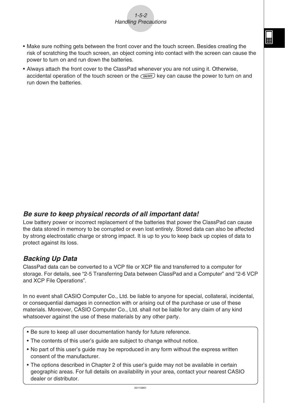

- Make sure nothing gets between the front cover and the touch screen. Besides creating the risk of scratching the touch screen, an object coming into contact with the screen can cause the power to turn on and run down the batteries.
- Always attach the front cover to the ClassPad whenever you are not using it. Otherwise, accidental operation of the touch screen or the  $\widehat{(\omega)}$  key can cause the power to turn on and run down the batteries.

#### *Be sure to keep physical records of all important data!*

Low battery power or incorrect replacement of the batteries that power the ClassPad can cause the data stored in memory to be corrupted or even lost entirely. Stored data can also be affected by strong electrostatic charge or strong impact. It is up to you to keep back up copies of data to protect against its loss.

#### *Backing Up Data*

ClassPad data can be converted to a VCP file or XCP file and transferred to a computer for storage. For details, see "2-5 Transferring Data between ClassPad and a Computer" and "2-6 VCP and XCP File Operations".

In no event shall CASIO Computer Co., Ltd. be liable to anyone for special, collateral, incidental, or consequential damages in connection with or arising out of the purchase or use of these materials. Moreover, CASIO Computer Co., Ltd. shall not be liable for any claim of any kind whatsoever against the use of these materials by any other party.

- Be sure to keep all user documentation handy for future reference.
- The contents of this user's guide are subject to change without notice.
- No part of this user's guide may be reproduced in any form without the express written consent of the manufacturer.
- The options described in Chapter 2 of this user's guide may not be available in certain geographic areas. For full details on availability in your area, contact your nearest CASIO dealer or distributor.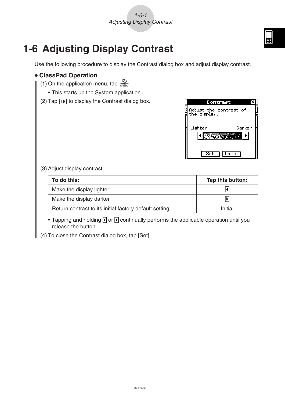X

Darker

**Initial** 

 $\blacksquare$  $\overline{\phantom{1}}$ 

Þ.

Contrast

Set

## <span id="page-13-0"></span>**1-6 Adjusting Display Contrast**

Use the following procedure to display the Contrast dialog box and adjust display contrast.



• Tapping and holding  $\bigcirc$  or  $\bigcirc$  continually performs the applicable operation until you release the button.

(4) To close the Contrast dialog box, tap [Set].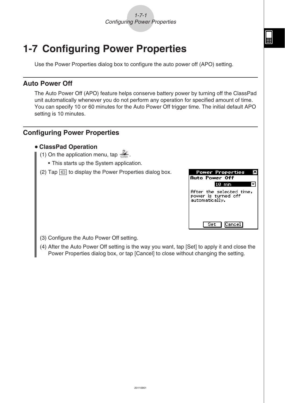

<span id="page-14-0"></span>Use the Power Properties dialog box to configure the auto power off (APO) setting.

#### **Auto Power Off**

The Auto Power Off (APO) feature helps conserve battery power by turning off the ClassPad unit automatically whenever you do not perform any operation for specified amount of time. You can specify 10 or 60 minutes for the Auto Power Off trigger time. The initial default APO setting is 10 minutes.

#### **Configuring Power Properties**

#### u **ClassPad Operation**

- (1) On the application menu, tap  $\frac{1}{2}$ .
	- This starts up the System application.
- (2) Tap  $\boxed{\oplus}$  to display the Power Properties dialog box.

| <b>Power Properties</b><br>Auto Power Off                         |
|-------------------------------------------------------------------|
| 10 min                                                            |
| After the selected time,<br>power is turned off<br>automatically. |
| Cancel <br>Set I                                                  |

- (3) Configure the Auto Power Off setting.
- (4) After the Auto Power Off setting is the way you want, tap [Set] to apply it and close the Power Properties dialog box, or tap [Cancel] to close without changing the setting.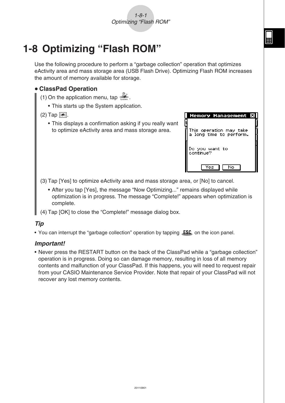## <span id="page-15-0"></span>**1-8 Optimizing "Flash ROM"**

Use the following procedure to perform a "garbage collection" operation that optimizes eActivity area and mass storage area (USB Flash Drive). Optimizing Flash ROM increases the amount of memory available for storage.

#### u **ClassPad Operation**

(1) On the application menu, tap  $\mathbb{Z}$ .

• This starts up the System application.

#### $(2)$  Tap  $\mathbb{R}$ .

• This displays a confirmation asking if you really want to optimize eActivity area and mass storage area.

| <b>Memory Management</b><br>Þс                          |
|---------------------------------------------------------|
| j<br>This operation may take<br>a long time to perform. |
| Do you want to<br>continue?                             |
|                                                         |

(3) Tap [Yes] to optimize eActivity area and mass storage area, or [No] to cancel.

- After you tap [Yes], the message "Now Optimizing..." remains displayed while optimization is in progress. The message "Complete!" appears when optimization is complete.
- (4) Tap [OK] to close the "Complete!" message dialog box.

#### *Tip*

• You can interrupt the "garbage collection" operation by tapping  $\mathsf{LSC}_0$  on the icon panel.

#### *Important!*

• Never press the RESTART button on the back of the ClassPad while a "garbage collection" operation is in progress. Doing so can damage memory, resulting in loss of all memory contents and malfunction of your ClassPad. If this happens, you will need to request repair from your CASIO Maintenance Service Provider. Note that repair of your ClassPad will not recover any lost memory contents.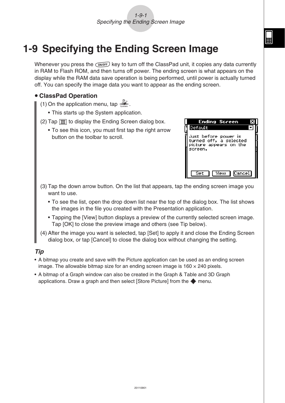#### 1-9-1 Specifying the Ending Screen Image

<span id="page-16-0"></span>Whenever you press the  $\overline{conv}$  key to turn off the ClassPad unit, it copies any data currently in RAM to Flash ROM, and then turns off power. The ending screen is what appears on the display while the RAM data save operation is being performed, until power is actually turned off. You can specify the image data you want to appear as the ending screen.

#### u **ClassPad Operation**

- (1) On the application menu, tap  $\mathbb{Z}$ .
	- This starts up the System application.
- (2) Tap  $\boxed{m}$  to display the Ending Screen dialog box.
	- To see this icon, you must first tap the right arrow button on the toolbar to scroll.

| Ending Screen                                                                       |  |
|-------------------------------------------------------------------------------------|--|
| Default                                                                             |  |
| Just before power is<br>turned off, a selected<br>picture appears on the<br>screen. |  |
| Cancel <br>View 1<br>-Set                                                           |  |

- (3) Tap the down arrow button. On the list that appears, tap the ending screen image you want to use.
	- To see the list, open the drop down list near the top of the dialog box. The list shows the images in the file you created with the Presentation application.
	- Tapping the [View] button displays a preview of the currently selected screen image. Tap [OK] to close the preview image and others (see Tip below).
- (4) After the image you want is selected, tap [Set] to apply it and close the Ending Screen dialog box, or tap [Cancel] to close the dialog box without changing the setting.

#### *Tip*

- A bitmap you create and save with the Picture application can be used as an ending screen image. The allowable bitmap size for an ending screen image is  $160 \times 240$  pixels.
- A bitmap of a Graph window can also be created in the Graph & Table and 3D Graph applications. Draw a graph and then select [Store Picture] from the  $\triangleq$  menu.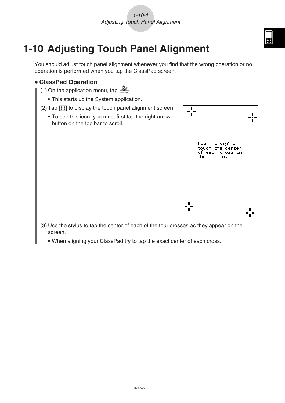## <span id="page-17-0"></span>**1-10 Adjusting Touch Panel Alignment**

You should adjust touch panel alignment whenever you find that the wrong operation or no operation is performed when you tap the ClassPad screen.

#### u **ClassPad Operation**

- (1) On the application menu, tap  $\mathbb{Z}_+$ .
	- This starts up the System application.
- (2) Tap  $\left| \cdot \right\rangle$  to display the touch panel alignment screen.
	- To see this icon, you must first tap the right arrow button on the toolbar to scroll.



- (3) Use the stylus to tap the center of each of the four crosses as they appear on the screen.
	- When aligning your ClassPad try to tap the exact center of each cross.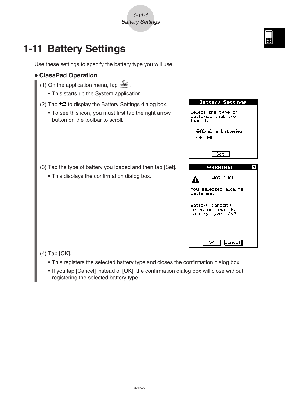## <span id="page-18-0"></span>**1-11 Battery Settings**

Use these settings to specify the battery type you will use.

1-11-1 Battery Settings



- (2) Tap  $\sqrt{\alpha}$  to display the Battery Settings dialog box.
	- To see this icon, you must first tap the right arrow button on the toolbar to scroll.
- (3) Tap the type of battery you loaded and then tap [Set].
	- This displays the confirmation dialog box.



**Battery Settings** 

(4) Tap [OK].

- This registers the selected battery type and closes the confirmation dialog box.
- If you tap [Cancel] instead of [OK], the confirmation dialog box will close without registering the selected battery type.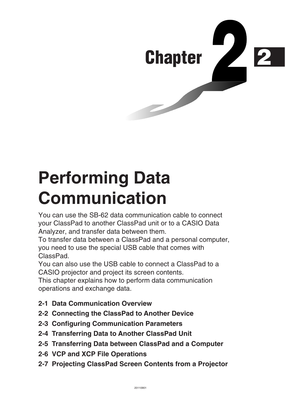<span id="page-19-0"></span>

## **Performing Data Communication**

You can use the SB-62 data communication cable to connect your ClassPad to another ClassPad unit or to a CASIO Data Analyzer, and transfer data between them.

To transfer data between a ClassPad and a personal computer, you need to use the special USB cable that comes with ClassPad.

You can also use the USB cable to connect a ClassPad to a CASIO projector and project its screen contents.

This chapter explains how to perform data communication operations and exchange data.

- **[2-1 Data Communication Overview](#page-20-0)**
- **[2-2 Connecting the ClassPad to Another Device](#page-25-0)**
- **[2-3 Configuring Communication Parameters](#page-29-0)**
- **[2-4 Transferring Data to Another ClassPad Unit](#page-31-0)**
- **[2-5 Transferring Data between ClassPad and a Computer](#page-37-0)**
- **[2-6 VCP and XCP File Operations](#page-43-0)**
- **[2-7 Projecting ClassPad Screen Contents from a Projector](#page-52-0)**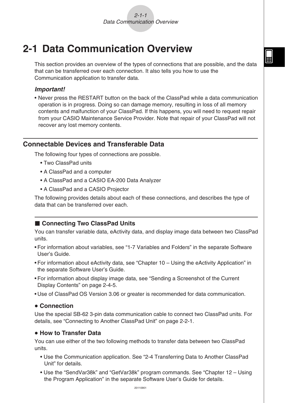## <span id="page-20-0"></span>**2-1 Data Communication Overview**

This section provides an overview of the types of connections that are possible, and the data that can be transferred over each connection. It also tells you how to use the Communication application to transfer data.

**HE** 

#### *Important!*

• Never press the RESTART button on the back of the ClassPad while a data communication operation is in progress. Doing so can damage memory, resulting in loss of all memory contents and malfunction of your ClassPad. If this happens, you will need to request repair from your CASIO Maintenance Service Provider. Note that repair of your ClassPad will not recover any lost memory contents.

#### **Connectable Devices and Transferable Data**

The following four types of connections are possible.

- Two ClassPad units
- A ClassPad and a computer
- A ClassPad and a CASIO EA-200 Data Analyzer
- A ClassPad and a CASIO Projector

The following provides details about each of these connections, and describes the type of data that can be transferred over each.

#### ■ Connecting Two ClassPad Units

You can transfer variable data, eActivity data, and display image data between two ClassPad units.

- For information about variables, see "1-7 Variables and Folders" in the separate Software User's Guide.
- For information about eActivity data, see "Chapter 10 Using the eActivity Application" in the separate Software User's Guide.
- For information about display image data, see "Sending a Screenshot of the Current Display Contents" on page 2-4-5.
- Use of ClassPad OS Version 3.06 or greater is recommended for data communication.

#### u **Connection**

Use the special SB-62 3-pin data communication cable to connect two ClassPad units. For details, see "Connecting to Another ClassPad Unit" on page 2-2-1.

#### $\bullet$  **How to Transfer Data**

You can use either of the two following methods to transfer data between two ClassPad units.

- Use the Communication application. See "2-4 Transferring Data to Another ClassPad Unit" for details.
- Use the "SendVar38k" and "GetVar38k" program commands. See "Chapter 12 Using the Program Application" in the separate Software User's Guide for details.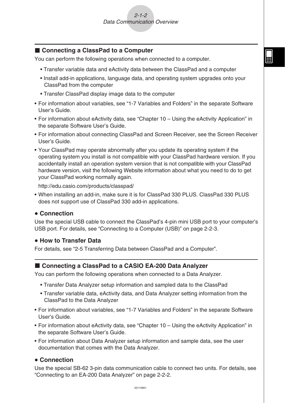#### ■ Connecting a ClassPad to a Computer

You can perform the following operations when connected to a computer.

- Transfer variable data and eActivity data between the ClassPad and a computer
- Install add-in applications, language data, and operating system upgrades onto your ClassPad from the computer
- Transfer ClassPad display image data to the computer
- For information about variables, see "1-7 Variables and Folders" in the separate Software User's Guide.
- For information about eActivity data, see "Chapter 10 Using the eActivity Application" in the separate Software User's Guide.
- For information about connecting ClassPad and Screen Receiver, see the Screen Receiver User's Guide.
- Your ClassPad may operate abnormally after you update its operating system if the operating system you install is not compatible with your ClassPad hardware version. If you accidentally install an operation system version that is not compatible with your ClassPad hardware version, visit the following Website information about what you need to do to get your ClassPad working normally again.

<http://edu.casio.com/products/classpad/>

• When installing an add-in, make sure it is for ClassPad 330 PLUS. ClassPad 330 PLUS does not support use of ClassPad 330 add-in applications.

#### **• Connection**

Use the special USB cable to connect the ClassPad's 4-pin mini USB port to your computer's USB port. For details, see "Connecting to a Computer (USB)" on page 2-2-3.

#### $\bullet$  **How to Transfer Data**

For details, see "2-5 Transferring Data between ClassPad and a Computer".

#### ■ Connecting a ClassPad to a CASIO EA-200 Data Analyzer

You can perform the following operations when connected to a Data Analyzer.

- Transfer Data Analyzer setup information and sampled data to the ClassPad
- Transfer variable data, eActivity data, and Data Analyzer setting information from the ClassPad to the Data Analyzer
- For information about variables, see "1-7 Variables and Folders" in the separate Software User's Guide.
- For information about eActivity data, see "Chapter 10 Using the eActivity Application" in the separate Software User's Guide.
- For information about Data Analyzer setup information and sample data, see the user documentation that comes with the Data Analyzer.

#### **• Connection**

Use the special SB-62 3-pin data communication cable to connect two units. For details, see "Connecting to an EA-200 Data Analyzer" on page 2-2-2.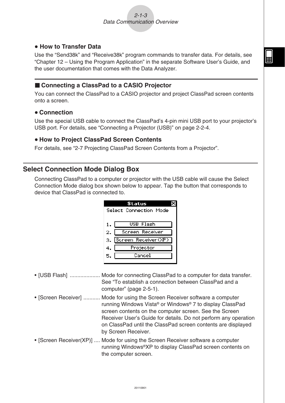#### <span id="page-22-0"></span> $\bullet$  **How to Transfer Data**

Use the "Send38k" and "Receive38k" program commands to transfer data. For details, see "Chapter 12 – Using the Program Application" in the separate Software User's Guide, and the user documentation that comes with the Data Analyzer.

#### ■ Connecting a ClassPad to a CASIO Projector

You can connect the ClassPad to a CASIO projector and project ClassPad screen contents onto a screen.

#### **• Connection**

Use the special USB cable to connect the ClassPad's 4-pin mini USB port to your projector's USB port. For details, see "Connecting a Projector (USB)" on page 2-2-4.

#### u **How to Project ClassPad Screen Contents**

For details, see "2-7 Projecting ClassPad Screen Contents from a Projector".

#### **Select Connection Mode Dialog Box**

Connecting ClassPad to a computer or projector with the USB cable will cause the Select Connection Mode dialog box shown below to appear. Tap the button that corresponds to device that ClassPad is connected to.

|                        | Status              |  |  |  |  |  |  |
|------------------------|---------------------|--|--|--|--|--|--|
| Select Connection Mode |                     |  |  |  |  |  |  |
|                        |                     |  |  |  |  |  |  |
|                        | USB Flash           |  |  |  |  |  |  |
| 2.                     | Screen Receiver     |  |  |  |  |  |  |
| з.                     | Screen Receiver(XP) |  |  |  |  |  |  |
| 4.                     | Projector           |  |  |  |  |  |  |
| 5.                     | Cancel              |  |  |  |  |  |  |
|                        |                     |  |  |  |  |  |  |

- [USB Flash] .................... Mode for connecting ClassPad to a computer for data transfer. See "To establish a connection between ClassPad and a computer" (page 2-5-1).
- [Screen Receiver] ........... Mode for using the Screen Receiver software a computer running Windows Vista® or Windows® 7 to display ClassPad screen contents on the computer screen. See the Screen Receiver User's Guide for details. Do not perform any operation on ClassPad until the ClassPad screen contents are displayed by Screen Receiver.
- [Screen Receiver(XP)] .... Mode for using the Screen Receiver software a computer running Windows®XP to display ClassPad screen contents on the computer screen.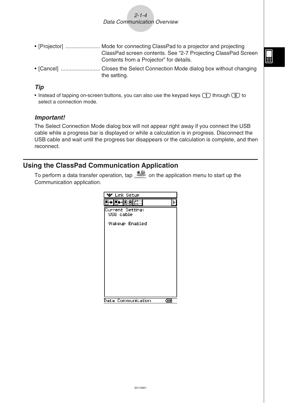$2 - 1 - 4$ Data Communication Overview

- <span id="page-23-0"></span>• [Projector] ....................... Mode for connecting ClassPad to a projector and projecting ClassPad screen contents. See "2-7 Projecting ClassPad Screen Contents from a Projector" for details.
- [Cancel] .......................... Closes the Select Connection Mode dialog box without changing the setting.

#### *Tip*

• Instead of tapping on-screen buttons, you can also use the keypad keys  $\Box$  through  $\Box$  to select a connection mode.

#### *Important!*

The Select Connection Mode dialog box will not appear right away if you connect the USB cable while a progress bar is displayed or while a calculation is in progress. Disconnect the USB cable and wait until the progress bar disappears or the calculation is complete, and then reconnect.

#### **Using the ClassPad Communication Application**

To perform a data transfer operation, tap **B** on the application menu to start up the Communication application.

| Link Setup                    |  |
|-------------------------------|--|
| C+ C9 <br>¦ĝ≣∷<br>lin el<br>3 |  |
| Current Setting:<br>USB cable |  |
| Wakeup Enabled                |  |
|                               |  |
|                               |  |
|                               |  |
|                               |  |
|                               |  |
|                               |  |
|                               |  |
|                               |  |
| Communication<br>Data<br>दम्म |  |

囲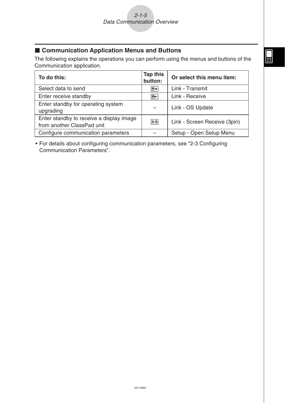#### ■ Communication Application Menus and Buttons

The following explains the operations you can perform using the menus and buttons of the Communication application.

| To do this:                                                            | <b>Tap this</b><br>button: | Or select this menu item:    |
|------------------------------------------------------------------------|----------------------------|------------------------------|
| Select data to send                                                    | $\boxed{\mathbb{B}^*}$     | Link - Transmit              |
| Enter receive standby                                                  | $\boxed{E}$                | Link - Receive               |
| Enter standby for operating system<br>upgrading                        |                            | Link - OS Update             |
| Enter standby to receive a display image<br>from another ClassPad unit | œ                          | Link - Screen Receive (3pin) |
| Configure communication parameters                                     |                            | Setup - Open Setup Menu      |

• For details about configuring communication parameters, see "2-3 Configuring Communication Parameters".

 $\begin{tabular}{|c|c|} \hline \quad \quad & \quad \quad & \quad \quad \\ \hline \quad \quad & \quad \quad & \quad \quad \\ \hline \end{tabular}$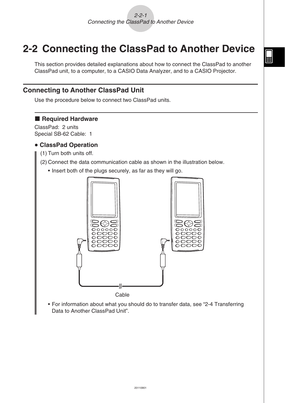### <span id="page-25-0"></span>**2-2 Connecting the ClassPad to Another Device**

This section provides detailed explanations about how to connect the ClassPad to another ClassPad unit, to a computer, to a CASIO Data Analyzer, and to a CASIO Projector.

#### **Connecting to Another ClassPad Unit**

Use the procedure below to connect two ClassPad units.

#### **Required Hardware**

ClassPad: 2 units Special SB-62 Cable: 1

#### u **ClassPad Operation**

- (1) Turn both units off.
- (2) Connect the data communication cable as shown in the illustration below.
	- Insert both of the plugs securely, as far as they will go.



 • For information about what you should do to transfer data, see "2-4 Transferring Data to Another ClassPad Unit".

 $\boxed{\blacksquare}$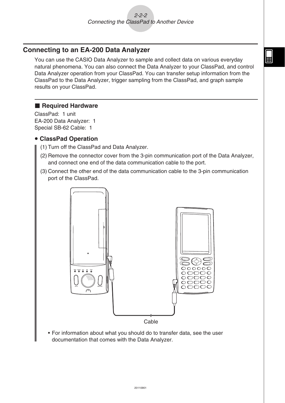#### <span id="page-26-0"></span>**Connecting to an EA-200 Data Analyzer**

You can use the CASIO Data Analyzer to sample and collect data on various everyday natural phenomena. You can also connect the Data Analyzer to your ClassPad, and control Data Analyzer operation from your ClassPad. You can transfer setup information from the ClassPad to the Data Analyzer, trigger sampling from the ClassPad, and graph sample results on your ClassPad.

#### **Required Hardware**

ClassPad: 1 unit EA-200 Data Analyzer: 1 Special SB-62 Cable: 1

#### u **ClassPad Operation**

- (1) Turn off the ClassPad and Data Analyzer.
- (2) Remove the connector cover from the 3-pin communication port of the Data Analyzer, and connect one end of the data communication cable to the port.
- (3) Connect the other end of the data communication cable to the 3-pin communication port of the ClassPad.



 • For information about what you should do to transfer data, see the user documentation that comes with the Data Analyzer.

H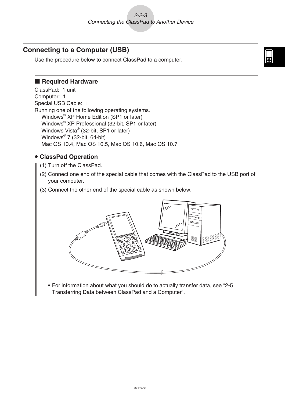#### <span id="page-27-0"></span>**Connecting to a Computer (USB)**

Use the procedure below to connect ClassPad to a computer.

#### **Required Hardware**

ClassPad: 1 unit Computer: 1 Special USB Cable: 1 Running one of the following operating systems. Windows® XP Home Edition (SP1 or later) Windows® XP Professional (32-bit, SP1 or later) Windows Vista® (32-bit, SP1 or later) Windows® 7 (32-bit, 64-bit) Mac OS 10.4, Mac OS 10.5, Mac OS 10.6, Mac OS 10.7

#### **• ClassPad Operation**

(1) Turn off the ClassPad.

- (2) Connect one end of the special cable that comes with the ClassPad to the USB port of your computer.
- (3) Connect the other end of the special cable as shown below.



• For information about what you should do to actually transfer data, see "2-5 Transferring Data between ClassPad and a Computer".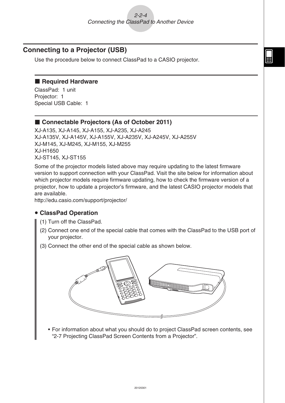#### <span id="page-28-0"></span>**Connecting to a Projector (USB)**

Use the procedure below to connect ClassPad to a CASIO projector.

#### **Required Hardware**

ClassPad: 1 unit Projector: 1 Special USB Cable: 1

#### ■ Connectable Projectors (As of October 2011)

XJ-A135, XJ-A145, XJ-A155, XJ-A235, XJ-A245 XJ-A135V, XJ-A145V, XJ-A155V, XJ-A235V, XJ-A245V, XJ-A255V XJ-M145, XJ-M245, XJ-M155, XJ-M255 XJ-H1650 XJ-ST145, XJ-ST155

Some of the projector models listed above may require updating to the latest firmware version to support connection with your ClassPad. Visit the site below for information about which projector models require firmware updating, how to check the firmware version of a projector, how to update a projector's firmware, and the latest CASIO projector models that are available.

<http://edu.casio.com/support/projector/>

#### **• ClassPad Operation**

- (1) Turn off the ClassPad.
- (2) Connect one end of the special cable that comes with the ClassPad to the USB port of your projector.
- (3) Connect the other end of the special cable as shown below.



• For information about what you should do to project ClassPad screen contents, see "2-7 Projecting ClassPad Screen Contents from a Projector".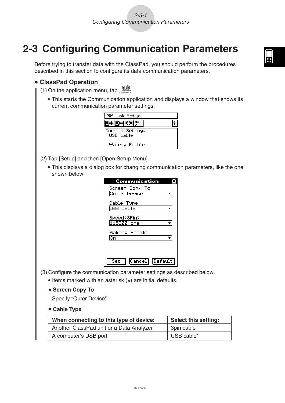## <span id="page-29-0"></span>**2-3 Configuring Communication Parameters**

Before trying to transfer data with the ClassPad, you should perform the procedures described in this section to configure its data communication parameters.

#### u **ClassPad Operation**

(1) On the application menu, tap

 • This starts the Communication application and displays a window that shows its current communication parameter settings.

| <b>* Link Setup</b>           |  |
|-------------------------------|--|
| B+lB+lB9l                     |  |
| Current Setting:<br>USB cable |  |
| Wakeup Enabled                |  |

(2) Tap [Setup] and then [Open Setup Menu].

 • This displays a dialog box for changing communication parameters, like the one shown below.

| Communication                         |  |
|---------------------------------------|--|
| Screen Copy To<br>Outer Device        |  |
| Cable Type<br>USB cable               |  |
| Speed(3Pin)<br>115200 bps             |  |
| Wakeup Enable<br>Oп                   |  |
|                                       |  |
| Cancel <sup>1</sup><br>Default<br>Set |  |

(3) Configure the communication parameter settings as described below.

- Items marked with an asterisk (\*) are initial defaults.
- **Screen Copy To**

Specify "Outer Device".

#### **• Cable Type**

| When connecting to this type of device:  | <b>Select this setting:</b> |
|------------------------------------------|-----------------------------|
| Another ClassPad unit or a Data Analyzer | 3pin cable                  |
| A computer's USB port                    | USB cable*                  |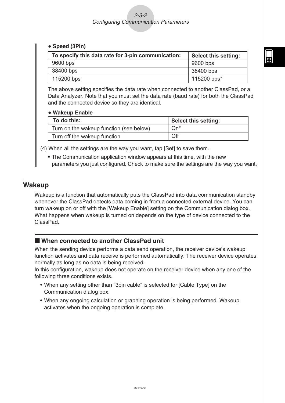#### <span id="page-30-0"></span>• Speed (3Pin)

| To specify this data rate for 3-pin communication: | <b>Select this setting:</b> |
|----------------------------------------------------|-----------------------------|
| 9600 bps                                           | 9600 bps                    |
| 38400 bps                                          | 38400 bps                   |
| 115200 bps                                         | 115200 bps*                 |

The above setting specifies the data rate when connected to another ClassPad, or a Data Analyzer. Note that you must set the data rate (baud rate) for both the ClassPad and the connected device so they are identical.

#### **• Wakeup Enable**

| To do this:                             | <b>Select this setting:</b> |
|-----------------------------------------|-----------------------------|
| Turn on the wakeup function (see below) | $On^*$                      |
| Turn off the wakeup function            | Off                         |

(4) When all the settings are the way you want, tap [Set] to save them.

 • The Communication application window appears at this time, with the new parameters you just configured. Check to make sure the settings are the way you want.

#### **Wakeup**

Wakeup is a function that automatically puts the ClassPad into data communication standby whenever the ClassPad detects data coming in from a connected external device. You can turn wakeup on or off with the [Wakeup Enable] setting on the Communication dialog box. What happens when wakeup is turned on depends on the type of device connected to the ClassPad.

#### ■ When connected to another ClassPad unit

When the sending device performs a data send operation, the receiver device's wakeup function activates and data receive is performed automatically. The receiver device operates normally as long as no data is being received.

In this configuration, wakeup does not operate on the receiver device when any one of the following three conditions exists.

- When any setting other than "3pin cable" is selected for [Cable Type] on the Communication dialog box.
- When any ongoing calculation or graphing operation is being performed. Wakeup activates when the ongoing operation is complete.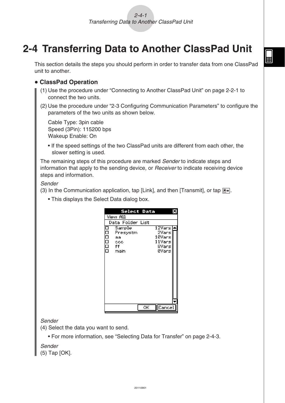## <span id="page-31-0"></span>**2-4 Transferring Data to Another ClassPad Unit**

This section details the steps you should perform in order to transfer data from one ClassPad unit to another.

- u **ClassPad Operation**
	- (1) Use the procedure under "Connecting to Another ClassPad Unit" on page 2-2-1 to connect the two units.
	- (2) Use the procedure under "2-3 Configuring Communication Parameters" to configure the parameters of the two units as shown below.

Cable Type: 3pin cable Speed (3Pin): 115200 bps Wakeup Enable: On

• If the speed settings of the two ClassPad units are different from each other, the slower setting is used.

The remaining steps of this procedure are marked Sender to indicate steps and information that apply to the sending device, or Receiver to indicate receiving device steps and information.

#### Sender

(3) In the Communication application, tap [Link], and then [Transmit], or tap  $\mathbb{F}\rightarrow$ .

• This displays the Select Data dialog box.



#### Sender

(4) Select the data you want to send.

• For more information, see "Selecting Data for Transfer" on page 2-4-3.

Sender

(5) Tap [OK].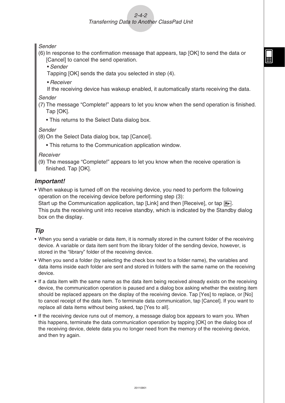#### $2 - A - 2$ Transferring Data to Another ClassPad Unit

Sender

- (6) In response to the confirmation message that appears, tap [OK] to send the data or [Cancel] to cancel the send operation.
	- Sender
	- Tapping [OK] sends the data you selected in step (4).
	- Receiver
	- If the receiving device has wakeup enabled, it automatically starts receiving the data.

Sender

- (7) The message "Complete!" appears to let you know when the send operation is finished. Tap [OK].
	- This returns to the Select Data dialog box.

Sender

(8) On the Select Data dialog box, tap [Cancel].

• This returns to the Communication application window.

**Receiver** 

(9) The message "Complete!" appears to let you know when the receive operation is finished. Tap [OK].

#### *Important!*

• When wakeup is turned off on the receiving device, you need to perform the following operation on the receiving device before performing step (3):

Start up the Communication application, tap [Link] and then [Receive], or tap  $\mathbb{R}$ . This puts the receiving unit into receive standby, which is indicated by the Standby dialog box on the display.

#### *Tip*

- When you send a variable or data item, it is normally stored in the current folder of the receiving device. A variable or data item sent from the library folder of the sending device, however, is stored in the "library" folder of the receiving device.
- When you send a folder (by selecting the check box next to a folder name), the variables and data items inside each folder are sent and stored in folders with the same name on the receiving device.
- If a data item with the same name as the data item being received already exists on the receiving device, the communication operation is paused and a dialog box asking whether the existing item should be replaced appears on the display of the receiving device. Tap [Yes] to replace, or [No] to cancel receipt of the data item. To terminate data communication, tap [Cancel]. If you want to replace all data items without being asked, tap [Yes to all].
- If the receiving device runs out of memory, a message dialog box appears to warn you. When this happens, terminate the data communication operation by tapping [OK] on the dialog box of the receiving device, delete data you no longer need from the memory of the receiving device, and then try again.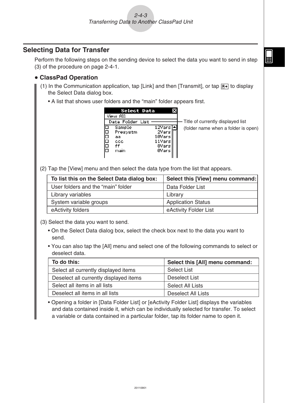#### <span id="page-33-0"></span>**Selecting Data for Transfer**

Perform the following steps on the sending device to select the data you want to send in step (3) of the procedure on page 2-4-1.

#### u **ClassPad Operation**

- (1) In the Communication application, tap [Link] and then [Transmit], or tap  $\mathbb{F}$  to display the Select Data dialog box.
	- A list that shows user folders and the "main" folder appears first.

| Select Data                                                    | ×                                                        |                                     |
|----------------------------------------------------------------|----------------------------------------------------------|-------------------------------------|
| View All                                                       |                                                          |                                     |
| Data Folder List                                               |                                                          | Title of currently displayed list   |
| Sample<br>Presystm<br>⊐<br>⊐<br>aa.<br>⊐<br>ccc.<br>ff<br>main | 12Vars∣▲l<br>2Vars<br>10Vars<br>11Vars<br>8Vars<br>0Vars | (folder name when a folder is open) |

(2) Tap the [View] menu and then select the data type from the list that appears.

| To list this on the Select Data dialog box: | Select this [View] menu command: |
|---------------------------------------------|----------------------------------|
| User folders and the "main" folder          | Data Folder List                 |
| Library variables                           | Library                          |
| System variable groups                      | <b>Application Status</b>        |
| eActivity folders                           | eActivity Folder List            |

- (3) Select the data you want to send.
	- On the Select Data dialog box, select the check box next to the data you want to send.
	- You can also tap the [All] menu and select one of the following commands to select or deselect data.

| To do this:                            | Select this [All] menu command: |
|----------------------------------------|---------------------------------|
| Select all currently displayed items   | <b>Select List</b>              |
| Deselect all currently displayed items | <b>Deselect List</b>            |
| Select all items in all lists          | Select All Lists                |
| Deselect all items in all lists        | <b>Deselect All Lists</b>       |

• Opening a folder in [Data Folder List] or [eActivity Folder List] displays the variables and data contained inside it, which can be individually selected for transfer. To select a variable or data contained in a particular folder, tap its folder name to open it.

囲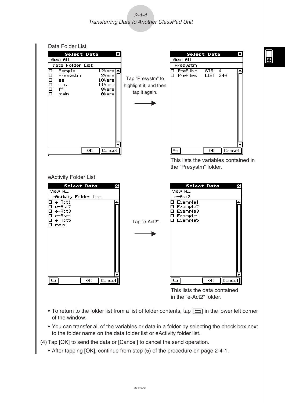$2 - 4 - 4$ Transferring Data to Another ClassPad Unit



- To return to the folder list from a list of folder contents, tap  $\Box$  in the lower left corner of the window.
- You can transfer all of the variables or data in a folder by selecting the check box next to the folder name on the data folder list or eActivity folder list.

(4) Tap [OK] to send the data or [Cancel] to cancel the send operation.

• After tapping [OK], continue from step (5) of the procedure on page 2-4-1.

20110901

囲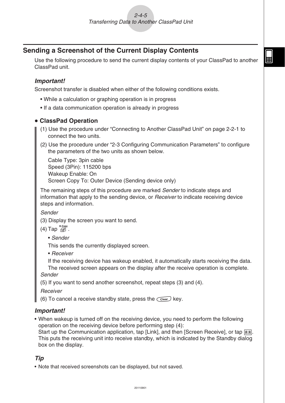#### <span id="page-35-0"></span>**Sending a Screenshot of the Current Display Contents**

Use the following procedure to send the current display contents of your ClassPad to another ClassPad unit.

囲

#### *Important!*

Screenshot transfer is disabled when either of the following conditions exists.

- While a calculation or graphing operation is in progress
- If a data communication operation is already in progress

#### u **ClassPad Operation**

- (1) Use the procedure under "Connecting to Another ClassPad Unit" on page 2-2-1 to connect the two units.
- (2) Use the procedure under "2-3 Configuring Communication Parameters" to configure the parameters of the two units as shown below.

Cable Type: 3pin cable Speed (3Pin): 115200 bps Wakeup Enable: On Screen Copy To: Outer Device (Sending device only)

The remaining steps of this procedure are marked *Sender* to indicate steps and information that apply to the sending device, or Receiver to indicate receiving device steps and information.

Sender

(3) Display the screen you want to send.

- $(4)$  Tap  $H-Copy$ .
	- Sender

This sends the currently displayed screen.

• Receiver

If the receiving device has wakeup enabled, it automatically starts receiving the data. The received screen appears on the display after the receive operation is complete. Sender

(5) If you want to send another screenshot, repeat steps (3) and (4).

**Receiver** 

(6) To cancel a receive standby state, press the  $\widehat{\text{C}}$  key.

#### *Important!*

• When wakeup is turned off on the receiving device, you need to perform the following operation on the receiving device before performing step (4):

Start up the Communication application, tap [Link], and then [Screen Receive], or tap  $\boxed{\mathbb{B}^2}$ . This puts the receiving unit into receive standby, which is indicated by the Standby dialog box on the display.

#### *Tip*

• Note that received screenshots can be displayed, but not saved.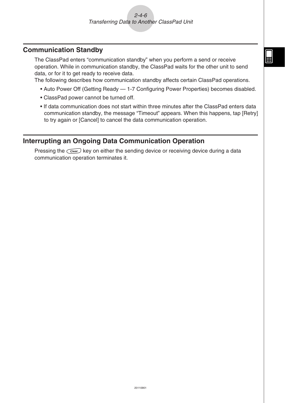#### <span id="page-36-0"></span>**Communication Standby**

The ClassPad enters "communication standby" when you perform a send or receive operation. While in communication standby, the ClassPad waits for the other unit to send data, or for it to get ready to receive data.

The following describes how communication standby affects certain ClassPad operations.

- Auto Power Off (Getting Ready 1-7 Configuring Power Properties) becomes disabled.
- ClassPad power cannot be turned off.
- If data communication does not start within three minutes after the ClassPad enters data communication standby, the message "Timeout" appears. When this happens, tap [Retry] to try again or [Cancel] to cancel the data communication operation.

#### **Interrupting an Ongoing Data Communication Operation**

Pressing the  $\widehat{C}$  key on either the sending device or receiving device during a data communication operation terminates it.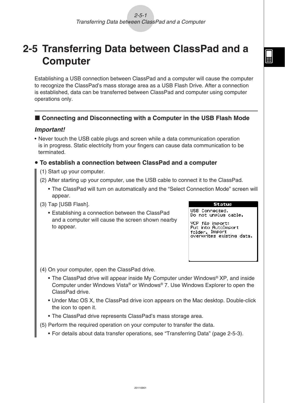### <span id="page-37-0"></span>**2-5 Transferring Data between ClassPad and a Computer**

Establishing a USB connection between ClassPad and a computer will cause the computer to recognize the ClassPad's mass storage area as a USB Flash Drive. After a connection is established, data can be transferred between ClassPad and computer using computer operations only.

#### ■ Connecting and Disconnecting with a Computer in the USB Flash Mode

#### *Important!*

Never touch the USB cable plugs and screen while a data communication operation • is in progress. Static electricity from your fingers can cause data communication to be terminated.

#### **To establish a connection between ClassPad and a computer** u

- (1) Start up your computer.
- (2) After starting up your computer, use the USB cable to connect it to the ClassPad.
	- The ClassPad will turn on automatically and the "Select Connection Mode" screen will appear.
- (3) Tap [USB Flash].
	- Establishing a connection between the ClassPad and a computer will cause the screen shown nearby to appear.



USB Connected. Do not unplug cable.

VCP file import:<br>Put into\_AutoImport folder. Import overwrites existing data.

(4) On your computer, open the ClassPad drive.

- The ClassPad drive will appear inside My Computer under Windows<sup>®</sup> XP, and inside Computer under Windows Vista® or Windows® 7. Use Windows Explorer to open the ClassPad drive.
- Under Mac OS X, the ClassPad drive icon appears on the Mac desktop. Double-click the icon to open it.
- The ClassPad drive represents ClassPad's mass storage area.
- (5) Perform the required operation on your computer to transfer the data.
	- For details about data transfer operations, see "Transferring Data" (page 2-5-3).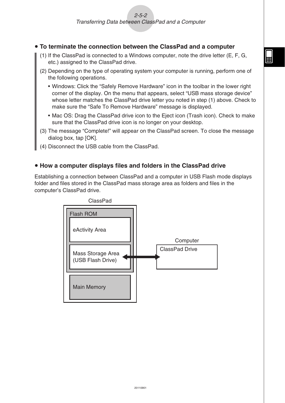#### **To terminate the connection between the ClassPad and a computer** u

- (1) If the ClassPad is connected to a Windows computer, note the drive letter (E, F, G, etc.) assigned to the ClassPad drive.
- (2) Depending on the type of operating system your computer is running, perform one of the following operations.
	- Windows: Click the "Safely Remove Hardware" icon in the toolbar in the lower right corner of the display. On the menu that appears, select "USB mass storage device" whose letter matches the ClassPad drive letter you noted in step (1) above. Check to make sure the "Safe To Remove Hardware" message is displayed.
	- Mac OS: Drag the ClassPad drive icon to the Eject icon (Trash icon). Check to make sure that the ClassPad drive icon is no longer on your desktop.
- (3) The message "Complete!" will appear on the ClassPad screen. To close the message dialog box, tap [OK].
- (4) Disconnect the USB cable from the ClassPad.

#### **• How a computer displays files and folders in the ClassPad drive**

Establishing a connection between ClassPad and a computer in USB Flash mode displays folder and files stored in the ClassPad mass storage area as folders and files in the computer's ClassPad drive.

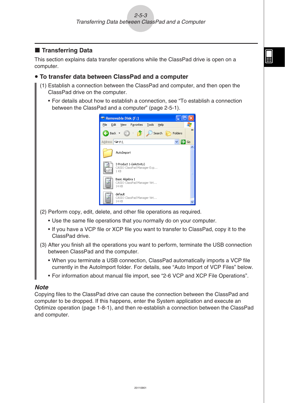#### $\blacksquare$  **Transferring Data**

This section explains data transfer operations while the ClassPad drive is open on a computer.

#### **• To transfer data between ClassPad and a computer**

- (1) Establish a connection between the ClassPad and computer, and then open the ClassPad drive on the computer.
	- For details about how to establish a connection, see "To establish a connection between the ClassPad and a computer" (page 2-5-1).

| Removable Disk (F:)                                           |               |
|---------------------------------------------------------------|---------------|
| Tools<br>Help<br>File<br>Edit<br>View<br>Favorites            |               |
| Back $\bullet$ (e) $\bullet$<br>Search<br>Folders             | $\rightarrow$ |
| Address F:\                                                   | Go            |
| AutoImport                                                    |               |
| 3 Product 1-(eActivity)<br>CASIO ClassPad Manager Exp<br>1 KB |               |
| Basic Algebra 1<br>CASIO ClassPad Manager Virt<br>14 KB       |               |
| default<br>CASIO ClassPad Manager Virt<br>14 KB               |               |

- (2) Perform copy, edit, delete, and other file operations as required.
	- Use the same file operations that you normally do on your computer.
	- If you have a VCP file or XCP file you want to transfer to ClassPad, copy it to the ClassPad drive.
- (3) After you finish all the operations you want to perform, terminate the USB connection between ClassPad and the computer.
	- When you terminate a USB connection, ClassPad automatically imports a VCP file currently in the AutoImport folder. For details, see "Auto Import of VCP Files" below.
	- For information about manual file import, see "2-6 VCP and XCP File Operations".

#### *Note*

Copying files to the ClassPad drive can cause the connection between the ClassPad and computer to be dropped. If this happens, enter the System application and execute an Optimize operation (page 1-8-1), and then re-establish a connection between the ClassPad and computer.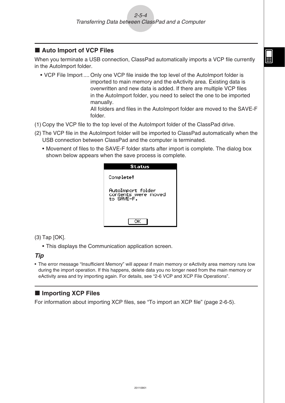#### ■ Auto Import of VCP Files

When you terminate a USB connection, ClassPad automatically imports a VCP file currently in the AutoImport folder.

• VCP File Import .... Only one VCP file inside the top level of the AutoImport folder is imported to main memory and the eActivity area. Existing data is overwritten and new data is added. If there are multiple VCP files in the AutoImport folder, you need to select the one to be imported manually.

All folders and files in the AutoImport folder are moved to the SAVE-F folder.

- (1) Copy the VCP file to the top level of the AutoImport folder of the ClassPad drive.
- (2) The VCP file in the AutoImport folder will be imported to ClassPad automatically when the USB connection between ClassPad and the computer is terminated.
	- Movement of files to the SAVE-F folder starts after import is complete. The dialog box shown below appears when the save process is complete.

| Status                                                 |
|--------------------------------------------------------|
| Complete!                                              |
| AutoImport folder<br>contents were moved<br>to SAVE-F. |
|                                                        |

(3) Tap [OK].

• This displays the Communication application screen.

#### *Tip*

The error message "Insufficient Memory" will appear if main memory or eActivity area memory runs low • during the import operation. If this happens, delete data you no longer need from the main memory or eActivity area and try importing again. For details, see "2-6 VCP and XCP File Operations".

#### ■ Importing XCP Files

For information about importing XCP files, see "To import an XCP file" (page 2-6-5).

```
囲
```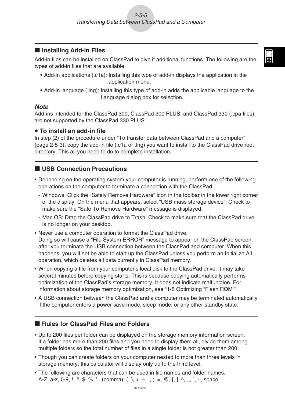#### ■ Installing Add-In Files

Add-in files can be installed on ClassPad to give it additional functions. The following are the types of add-in files that are available.

囲

- Add-in applications (.c1a): Installing this type of add-in displays the application in the application menu.
- Add-in language (.lng): Installing this type of add-in adds the applicable language to the Language dialog box for selection.

#### *Note*

Add-ins intended for the ClassPad 300, ClassPad 300 PLUS, and ClassPad 330 (.cpa files) are not supported by the ClassPad 330 PLUS.

#### **• To install an add-in file**

In step (2) of the procedure under "To transfer data between ClassPad and a computer" (page 2-5-3), copy the add-in file (.c1a or .lng) you want to install to the ClassPad drive root directory. This all you need to do to complete installation.

#### ■ USB Connection Precautions

- Depending on the operating system your computer is running, perform one of the following operations on the computer to terminate a connection with the ClassPad.
	- Windows: Click the "Safely Remove Hardware" icon in the toolbar in the lower right corner of the display. On the menu that appears, select "USB mass storage device". Check to make sure the "Safe To Remove Hardware" message is displayed.
	- Mac OS: Drag the ClassPad drive to Trash. Check to make sure that the ClassPad drive is no longer on your desktop.
- Never use a computer operation to format the ClassPad drive. Doing so will cause a "File System ERROR" message to appear on the ClassPad screen after you terminate the USB connection between the ClassPad and computer. When this happens, you will not be able to start up the ClassPad unless you perform an Initialize All operation, which deletes all data currently in ClassPad memory.
- When copying a file from your computer's local disk to the ClassPad drive, it may take several minutes before copying starts. This is because copying automatically performs optimization of the ClassPad's storage memory. It does not indicate malfunction. For information about storage memory optimization, see "1-8 Optimizing "Flash ROM"".
- A USB connection between the ClassPad and a computer may be terminated automatically if the computer enters a power save mode, sleep mode, or any other standby state.

#### **Rules for ClassPad Files and Folders**

- Up to 200 files per folder can be displayed on the storage memory information screen. If a folder has more than 200 files and you need to display them all, divide them among multiple folders so the total number of files in a single folder is not greater than 200.
- Though you can create folders on your computer nested to more than three levels in storage memory, this calculator will display only up to the third level.
- The following are characters that can be used in file names and folder names. A-Z, a-z, 0-9, !, #, \$, %, ', (comma), (, ), +, -, ., ;, =,  $\mathcal{Q}$ , [, ], ^, \_, `, ~, space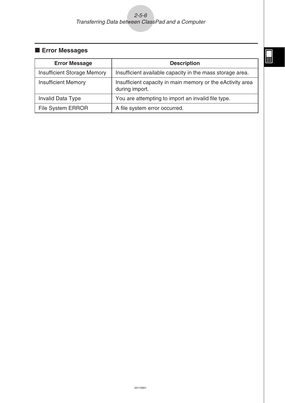#### 2-5-6 Transferring Data between ClassPad and a Computer

#### **Error Messages**

| <b>Error Message</b>               | <b>Description</b>                                                           |
|------------------------------------|------------------------------------------------------------------------------|
| <b>Insufficient Storage Memory</b> | Insufficient available capacity in the mass storage area.                    |
| <b>Insufficient Memory</b>         | Insufficient capacity in main memory or the eActivity area<br>during import. |
| Invalid Data Type                  | You are attempting to import an invalid file type.                           |
| <b>File System ERROR</b>           | A file system error occurred.                                                |

 $\boxed{\phantom{1}}$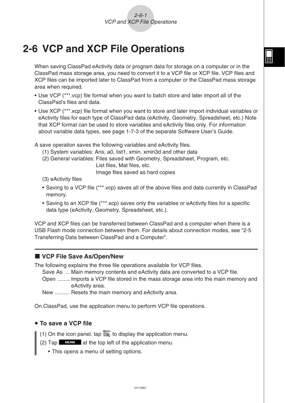## <span id="page-43-0"></span>**2-6 VCP and XCP File Operations**

When saving ClassPad eActivity data or program data for storage on a computer or in the ClassPad mass storage area, you need to convert it to a VCP file or XCP file. VCP files and XCP files can be imported later to ClassPad from a computer or the ClassPad mass storage area when required.

- Use VCP (\*\*\*.vcp) file format when you want to batch store and later import all of the ClassPad's files and data.
- Use XCP (\*\*\*.xcp) file format when you want to store and later import individual variables or eActivity files for each type of ClassPad data (eActivity, Geometry, Spreadsheet, etc.) Note that XCP format can be used to store variables and eActivity files only. For information about variable data types, see page 1-7-3 of the separate Software User's Guide.

A save operation saves the following variables and eActivity files.

- (1) System variables: Ans, a0, list1, xmin, xmin3d and other data
- (2) General variables: Files saved with Geometry, Spreadsheet, Program, etc.

List files, Mat files, etc.

Image files saved as hard copies

- (3) eActivity files
- Saving to a VCP file (\*\*\*.vcp) saves all of the above files and data currently in ClassPad memory.
- Saving to an XCP file (\*\*\*.xcp) saves only the variables or eActivity files for a specific data type (eActivity, Geometry, Spreadsheet, etc.).

VCP and XCP files can be transferred between ClassPad and a computer when there is a USB Flash mode connection between them. For details about connection modes, see "2-5 Transferring Data between ClassPad and a Computer".

#### ■ VCP File Save As/Open/New

The following explains the three file operations available for VCP files.

Save As ... Main memory contents and eActivity data are converted to a VCP file.

Open ........ Imports a VCP file stored in the mass storage area into the main memory and eActivity area.

New .......... Resets the main memory and eActivity area.

On ClassPad, use the application menu to perform VCP file operations.

#### **• To save a VCP file**

- (1) On the icon panel, tap  $\sum_{k=1}^{M_{\text{enu}}}$  to display the application menu.
- (2) Tap  $\Box$  at the top left of the application menu.
	- This opens a menu of setting options.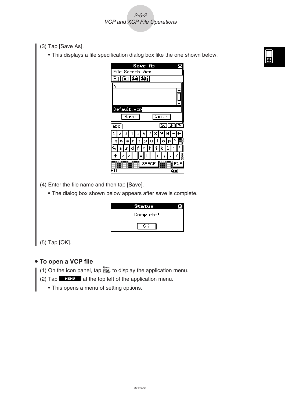- (3) Tap [Save As].
	- This displays a file specification dialog box like the one shown below. •

2-6-2 VCP and XCP File Operations

| Save As                                              |        |
|------------------------------------------------------|--------|
| File Search View                                     |        |
| ⊠lAAslAAsi<br>ฅา                                     |        |
|                                                      |        |
|                                                      |        |
|                                                      |        |
|                                                      |        |
| Default.vcp                                          |        |
| Save                                                 | Cancel |
| abc                                                  | ⊻∥≠    |
| 34567<br>$1\vert$<br>2<br>8                          | 9<br>ø |
| j<br>1<br> t y u<br>w<br>Ir.<br>$\vert e \vert$<br>٩ |        |
| ۹, a<br>f<br>h<br>d<br>а                             | k      |
| $\overline{1}$ $z$ $z$ $c$ $v$ $b$<br>n.<br> m       |        |
| <b>SPACE</b>                                         | EXE    |
| 711                                                  | द्गा।  |

(4) Enter the file name and then tap [Save].

The dialog box shown below appears after save is complete. •

| Status    |  |
|-----------|--|
| Complete! |  |
|           |  |

(5) Tap [OK].

#### **• To open a VCP file**

- (1) On the icon panel, tap  $\mathbb{R}^N$  to display the application menu.
- (2) Tap  $\blacksquare$  at the top left of the application menu.
	- This opens a menu of setting options.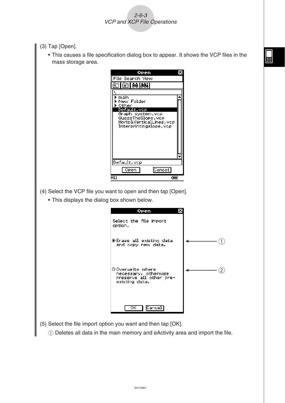- (3) Tap [Open].
	- This causes a file specification dialog box to appear. It shows the VCP files in the mass storage area.

翮

2-6-3 VCP and XCP File Operations



- (4) Select the VCP file you want to open and then tap [Open].
	- This displays the dialog box shown below. •

| Open                                                                                   |  |
|----------------------------------------------------------------------------------------|--|
| Select the file import<br>option.                                                      |  |
| ∣®Erase all existing data<br>and copy new data.                                        |  |
| O Overwrite where<br>necessary, otherwise<br>preserve all other pre-<br>existing data. |  |
| Cancel <br>ок                                                                          |  |

- (5) Select the file import option you want and then tap [OK].
	- 1 Deletes all data in the main memory and eActivity area and import the file.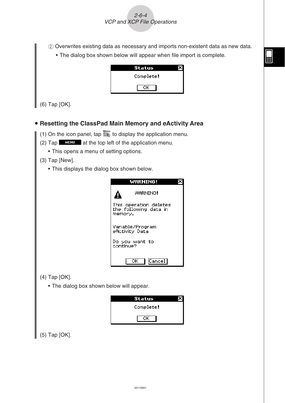2-6-4 VCP and XCP File Operations

2 Overwrites existing data as necessary and imports non-existent data as new data.

• The dialog box shown below will appear when file import is complete.



(6) Tap [OK].

#### **• Resetting the ClassPad Main Memory and eActivity Area**

- (1) On the icon panel, tap  $\sum_{k=1}^{M_{\text{enu}}}$  to display the application menu.
- (2) Tap  $\Box$   $\Box$  at the top left of the application menu.
	- This opens a menu of setting options. •
- (3) Tap [New].
	- This displays the dialog box shown below. •



- (4) Tap [OK].
	- The dialog box shown below will appear. •

| Status    |  |
|-----------|--|
| Complete! |  |
|           |  |

(5) Tap [OK].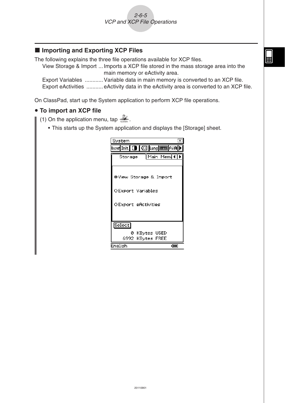#### ■ Importing and Exporting XCP Files

The following explains the three file operations available for XCP files.

View Storage & Import ... Imports a XCP file stored in the mass storage area into the main memory or eActivity area.

Export Variables ............ Variable data in main memory is converted to an XCP file. Export eActivities ........... eActivity data in the eActivity area is converted to an XCP file.

On ClassPad, start up the System application to perform XCP file operations.

#### **• To import an XCP file**

(1) On the application menu, tap  $\mathbb{Z}_+$ .

• This starts up the System application and displays the [Storage] sheet.

| System                            |       |
|-----------------------------------|-------|
|                                   |       |
| Main Mem(1)<br>Storage            |       |
|                                   |       |
| ®View Storage & Import            |       |
| OExport Variables                 |       |
| OExport eActivities               |       |
| Select <sup>1</sup>               |       |
|                                   |       |
| 0 KBytes USED<br>6992 KBytes FREE |       |
| English                           | द्गा। |

囲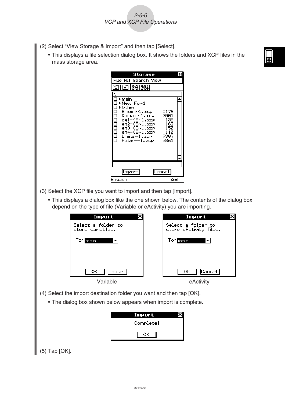- (2) Select "View Storage & Import" and then tap [Select].
	- This displays a file selection dialog box. It shows the folders and XCP files in the mass storage area.

2-6-6 VCP and XCP File Operations

|         | Storage                                                                         |                                   |
|---------|---------------------------------------------------------------------------------|-----------------------------------|
|         | File All Search View                                                            |                                   |
|         | ⊠l—ao lao4i                                                                     |                                   |
|         | ▶ main<br>▶New Fo~1<br>▶ Other<br>Binomi∼1, xce<br>Domain~1.xcp<br>eg1-(E~1.xcp | 5176<br>7001<br>138               |
| 1000000 | ея́2-(Е~1.хор<br>ед3-(Е~1.хор<br>ед4-(Е~1.хор<br>Limits∼1.xce i<br>Polar-~1.xcp | 162<br>150<br>110<br>7307<br>3861 |
|         |                                                                                 |                                   |
|         |                                                                                 |                                   |
|         | [Import]                                                                        | Cancel                            |
| English |                                                                                 | द्गा।                             |

- (3) Select the XCP file you want to import and then tap [Import].
	- This displays a dialog box like the one shown below. The contents of the dialog box depend on the type of file (Variable or eActivity) you are importing.

| Import                                 | Import                                        |
|----------------------------------------|-----------------------------------------------|
| Select a folder to<br>store variables. | Select a folder to<br>store eflotivity files. |
| To∶ <mark>main</mark>                  | To∶ <mark>main</mark>                         |
|                                        |                                               |
|                                        |                                               |
| Cancel <sup>1</sup><br>OK -            | Cancel <sup>1</sup><br>OK.                    |
| Variable                               | eActivity                                     |

- (4) Select the import destination folder you want and then tap [OK].
	- The dialog box shown below appears when import is complete. •



(5) Tap [OK].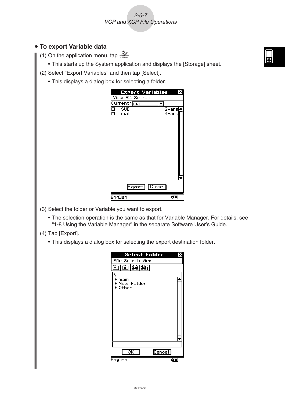2-6-7 VCP and XCP File Operations

#### **• To export Variable data**

- (1) On the application menu, tap  $\mathbb{Z}^2$ .
	- This starts up the System application and displays the [Storage] sheet.
- (2) Select "Export Variables" and then tap [Select].
	- This displays a dialog box for selecting a folder. •



- (3) Select the folder or Variable you want to export.
	- The selection operation is the same as that for Variable Manager. For details, see "1-8 Using the Variable Manager" in the separate Software User's Guide.
- (4) Tap [Export].
	- This displays a dialog box for selecting the export destination folder. •

| <b>Select Folder</b>          | x     |
|-------------------------------|-------|
| File Search View              |       |
| ⊠ ₩8 ₩                        |       |
| main<br>New Folder<br>Other   |       |
|                               |       |
| $\overline{\alpha}$<br>Cancel |       |
| English                       | द्गा। |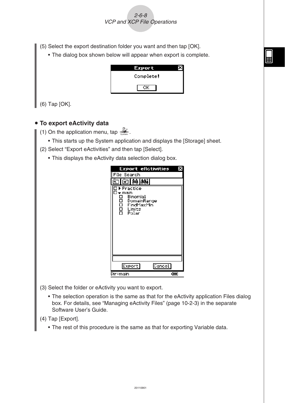2-6-8 VCP and XCP File Operations

- (5) Select the export destination folder you want and then tap [OK].
	- The dialog box shown below will appear when export is complete. •

| Export    |  |
|-----------|--|
| Complete! |  |
|           |  |

(6) Tap [OK].

#### **• To export eActivity data**

- (1) On the application menu, tap  $\mathcal{X}$ .
	- This starts up the System application and displays the [Storage] sheet.
- (2) Select "Export eActivities" and then tap [Select].
	- This displays the eActivity data selection dialog box. •

| <b>Export eflctivities</b>                                                              |       |
|-----------------------------------------------------------------------------------------|-------|
| File Search                                                                             |       |
| 函的网                                                                                     |       |
| ▶ Practice<br>r main<br>Binomial<br>日日日<br>DomainRange<br>FindMaxMin<br>Limits<br>Polar |       |
|                                                                                         |       |
| <b>Export</b><br>Cancel                                                                 |       |
| Dir:main                                                                                | द्गा। |

- (3) Select the folder or eActivity you want to export.
	- The selection operation is the same as that for the eActivity application Files dialog box. For details, see "Managing eActivity Files" (page 10-2-3) in the separate Software User's Guide.
- (4) Tap [Export].
	- The rest of this procedure is the same as that for exporting Variable data. •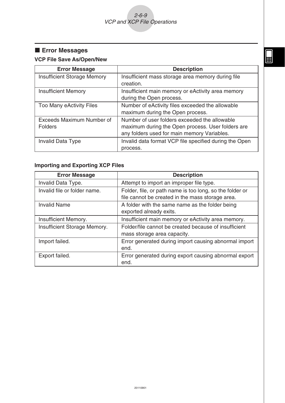#### **Error Messages**

#### **VCP File Save As/Open/New**

| <b>Error Message</b>                        | <b>Description</b>                                                                                                                                |
|---------------------------------------------|---------------------------------------------------------------------------------------------------------------------------------------------------|
| <b>Insufficient Storage Memory</b>          | Insufficient mass storage area memory during file<br>creation.                                                                                    |
| <b>Insufficient Memory</b>                  | Insufficient main memory or eActivity area memory<br>during the Open process.                                                                     |
| Too Many eActivity Files                    | Number of eActivity files exceeded the allowable<br>maximum during the Open process.                                                              |
| Exceeds Maximum Number of<br><b>Folders</b> | Number of user folders exceeded the allowable<br>maximum during the Open process. User folders are<br>any folders used for main memory Variables. |
| <b>Invalid Data Type</b>                    | Invalid data format VCP file specified during the Open<br>process.                                                                                |

#### **Importing and Exporting XCP Files**

| <b>Error Message</b>         | <b>Description</b>                                            |
|------------------------------|---------------------------------------------------------------|
| Invalid Data Type.           | Attempt to import an improper file type.                      |
| Invalid file or folder name. | Folder, file, or path name is too long, so the folder or      |
|                              | file cannot be created in the mass storage area.              |
| <b>Invalid Name</b>          | A folder with the same name as the folder being               |
|                              | exported already exits.                                       |
| Insufficient Memory.         | Insufficient main memory or eActivity area memory.            |
| Insufficient Storage Memory. | Folder/file cannot be created because of insufficient         |
|                              | mass storage area capacity.                                   |
| Import failed.               | Error generated during import causing abnormal import         |
|                              | end.                                                          |
| Export failed.               | Error generated during export causing abnormal export<br>end. |

 $\boxed{\square}$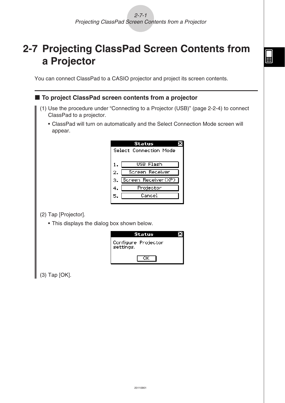囲

<span id="page-52-0"></span>**2-7 Projecting ClassPad Screen Contents from a Projector**

You can connect ClassPad to a CASIO projector and project its screen contents.

#### ■ To project ClassPad screen contents from a projector

- (1) Use the procedure under "Connecting to a Projector (USB)" (page 2-2-4) to connect ClassPad to a projector.
	- ClassPad will turn on automatically and the Select Connection Mode screen will appear.

|    | Status                 |  |
|----|------------------------|--|
|    | Select Connection Mode |  |
|    |                        |  |
| 1. | USB Flash              |  |
| 2. | Screen Receiver        |  |
| з. | Screen Receiver(XP)    |  |
| 4. | Projector              |  |
| 5. | Cancel                 |  |
|    |                        |  |

(2) Tap [Projector].

This displays the dialog box shown below. •

| Status                           |  |
|----------------------------------|--|
| Configure Projector<br>settings. |  |
|                                  |  |

(3) Tap [OK].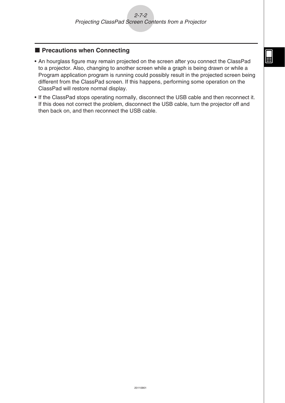#### **Recautions when Connecting**

- An hourglass figure may remain projected on the screen after you connect the ClassPad to a projector. Also, changing to another screen while a graph is being drawn or while a Program application program is running could possibly result in the projected screen being different from the ClassPad screen. If this happens, performing some operation on the ClassPad will restore normal display.
- If the ClassPad stops operating normally, disconnect the USB cable and then reconnect it. If this does not correct the problem, disconnect the USB cable, turn the projector off and then back on, and then reconnect the USB cable.

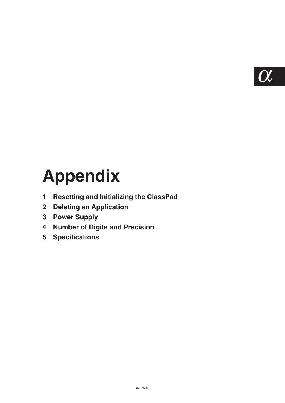$\boldsymbol{\alpha}$ 

## <span id="page-54-0"></span>**Appendix**

- **[1 Resetting and Initializing the ClassPad](#page-55-0)**
- **[2 Deleting an Application](#page-57-0)**
- **[3 Power Supply](#page-58-0)**
- **[4 Number of Digits and Precision](#page-59-0)**
- **[5 Specifications](#page-60-0)**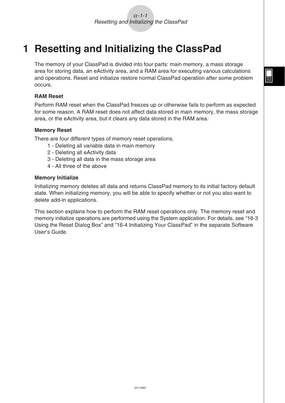## <span id="page-55-0"></span>**1 Resetting and Initializing the ClassPad**

The memory of your ClassPad is divided into four parts: main memory, a mass storage area for storing data, an eActivity area, and a RAM area for executing various calculations and operations. Reset and initialize restore normal ClassPad operation after some problem occurs.

#### **RAM Reset**

Perform RAM reset when the ClassPad freezes up or otherwise fails to perform as expected for some reason. A RAM reset does not affect data stored in main memory, the mass storage area, or the eActivity area, but it clears any data stored in the RAM area.

#### **Memory Reset**

There are four different types of memory reset operations.

- 1 Deleting all variable data in main memory
- 2 Deleting all eActivity data
- 3 Deleting all data in the mass storage area
- 4 All three of the above

#### **Memory Initialize**

Initializing memory deletes all data and returns ClassPad memory to its initial factory default state. When initializing memory, you will be able to specify whether or not you also want to delete add-in applications.

This section explains how to perform the RAM reset operations only. The memory reset and memory initialize operations are performed using the System application. For details, see "16-3 Using the Reset Dialog Box" and "16-4 Initializing Your ClassPad" in the separate Software User's Guide.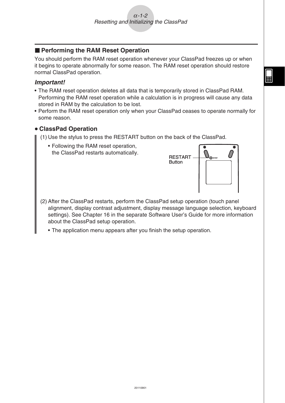#### **E** Performing the RAM Reset Operation

You should perform the RAM reset operation whenever your ClassPad freezes up or when it begins to operate abnormally for some reason. The RAM reset operation should restore normal ClassPad operation.

#### *Important!*

- The RAM reset operation deletes all data that is temporarily stored in ClassPad RAM. Performing the RAM reset operation while a calculation is in progress will cause any data stored in RAM by the calculation to be lost.
- Perform the RAM reset operation only when your ClassPad ceases to operate normally for some reason.

#### u **ClassPad Operation**

- (1) Use the stylus to press the RESTART button on the back of the ClassPad.
	- Following the RAM reset operation, the ClassPad restarts automatically.



- (2) After the ClassPad restarts, perform the ClassPad setup operation (touch panel alignment, display contrast adjustment, display message language selection, keyboard settings). See Chapter 16 in the separate Software User's Guide for more information about the ClassPad setup operation.
	- The application menu appears after you finish the setup operation.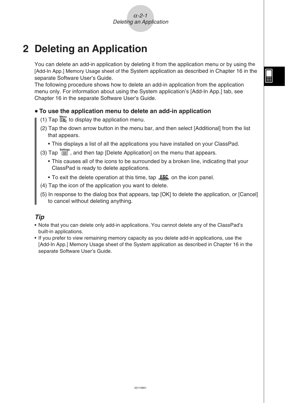## <span id="page-57-0"></span>**2 Deleting an Application**

You can delete an add-in application by deleting it from the application menu or by using the [Add-In App.] Memory Usage sheet of the System application as described in Chapter 16 in the separate Software User's Guide.

The following procedure shows how to delete an add-in application from the application menu only. For information about using the System application's [Add-In App.] tab, see Chapter 16 in the separate Software User's Guide.

#### u **To use the application menu to delete an add-in application**

- (1) Tap  $\mathbb{R}^{\text{Menu}}$  to display the application menu.
- (2) Tap the down arrow button in the menu bar, and then select [Additional] from the list that appears.
	- This displays a list of all the applications you have installed on your ClassPad.

#### (3) Tap  $\sum_{i=1}^{Settings}$ , and then tap [Delete Application] on the menu that appears.

- This causes all of the icons to be surrounded by a broken line, indicating that your ClassPad is ready to delete applications.
- To exit the delete operation at this time, tap  $ESC$  on the icon panel.
- (4) Tap the icon of the application you want to delete.
- (5) In response to the dialog box that appears, tap [OK] to delete the application, or [Cancel] to cancel without deleting anything.

#### *Tip*

- Note that you can delete only add-in applications. You cannot delete any of the ClassPad's built-in applications.
- If you prefer to view remaining memory capacity as you delete add-in applications, use the [Add-In App.] Memory Usage sheet of the System application as described in Chapter 16 in the separate Software User's Guide.

 $\blacksquare$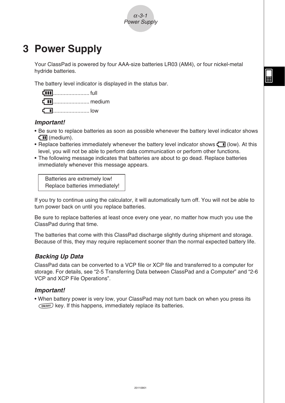

## <span id="page-58-0"></span>**3 Power Supply**

Your ClassPad is powered by four AAA-size batteries LR03 (AM4), or four nickel-metal hydride batteries.

The battery level indicator is displayed in the status bar.



#### *Important!*

- Be sure to replace batteries as soon as possible whenever the battery level indicator shows  $\Box$  (medium).
- Replace batteries immediately whenever the battery level indicator shows  $\overline{\mathbf{L}}$  (low). At this level, you will not be able to perform data communication or perform other functions.
- The following message indicates that batteries are about to go dead. Replace batteries immediately whenever this message appears.

 Batteries are extremely low! Replace batteries immediately!

If you try to continue using the calculator, it will automatically turn off. You will not be able to turn power back on until you replace batteries.

Be sure to replace batteries at least once every one year, no matter how much you use the ClassPad during that time.

The batteries that come with this ClassPad discharge slightly during shipment and storage. Because of this, they may require replacement sooner than the normal expected battery life.

#### *Backing Up Data*

ClassPad data can be converted to a VCP file or XCP file and transferred to a computer for storage. For details, see "2-5 Transferring Data between ClassPad and a Computer" and "2-6 VCP and XCP File Operations".

#### *Important!*

• When battery power is very low, your ClassPad may not turn back on when you press its  $\widehat{\text{convoff}}$  key. If this happens, immediately replace its batteries.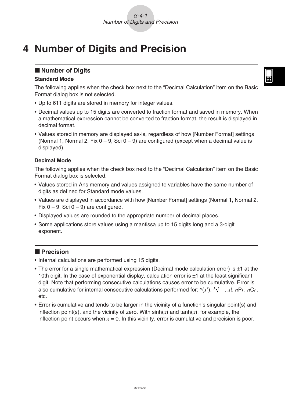### <span id="page-59-0"></span>**4 Number of Digits and Precision**

#### $\blacksquare$  **Number of Digits**

#### **Standard Mode**

The following applies when the check box next to the "Decimal Calculation" item on the Basic Format dialog box is not selected.

- Up to 611 digits are stored in memory for integer values.
- Decimal values up to 15 digits are converted to fraction format and saved in memory. When a mathematical expression cannot be converted to fraction format, the result is displayed in decimal format.
- Values stored in memory are displayed as-is, regardless of how [Number Format] settings (Normal 1, Normal 2, Fix  $0 - 9$ , Sci  $0 - 9$ ) are configured (except when a decimal value is displayed).

#### **Decimal Mode**

The following applies when the check box next to the "Decimal Calculation" item on the Basic Format dialog box is selected.

- Values stored in Ans memory and values assigned to variables have the same number of digits as defined for Standard mode values.
- Values are displayed in accordance with how [Number Format] settings (Normal 1, Normal 2, Fix  $0 - 9$ , Sci  $0 - 9$ ) are configured.
- Displayed values are rounded to the appropriate number of decimal places.
- Some applications store values using a mantissa up to 15 digits long and a 3-digit exponent.

#### **R** Precision

- Internal calculations are performed using 15 digits.
- The error for a single mathematical expression (Decimal mode calculation error) is  $\pm 1$  at the 10th digit. In the case of exponential display, calculation error is  $\pm 1$  at the least significant digit. Note that performing consecutive calculations causes error to be cumulative. Error is also cumulative for internal consecutive calculations performed for:  $\land$ (*x<sup>y</sup>*),  $\cancel{x}\sqrt{\phantom{x}}$ , *x*!, *nPr*, *nCr*, etc.
- Error is cumulative and tends to be larger in the vicinity of a function's singular point(s) and inflection point(s), and the vicinity of zero. With  $sinh(x)$  and  $tanh(x)$ , for example, the inflection point occurs when  $x = 0$ . In this vicinity, error is cumulative and precision is poor.

囲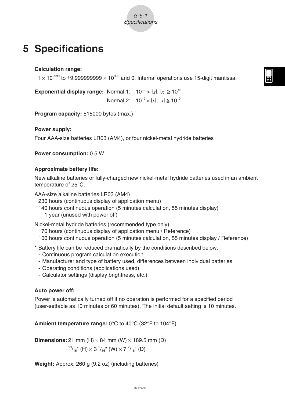## <span id="page-60-0"></span>**5 Specifications**

**Calculation range:**

 $\pm$ 1  $\times$  10<sup>-999</sup> to  $\pm$ 9.999999999  $\times$  10<sup>999</sup> and 0. Internal operations use 15-digit mantissa.

**Exponential display range:** Normal 1:  $10^{-2} > |x|, |x| \ge 10^{10}$ **Normal 2:**  $10^{-9}$  > |*x*|, |*x*|  $\geq 10^{10}$ 

**Program capacity: 515000 bytes (max.)** 

**Power supply:**

Four AAA-size batteries LR03 (AM4), or four nickel-metal hydride batteries

**Power consumption:** 0.5 W

#### **Approximate battery life:**

New alkaline batteries or fully-charged new nickel-metal hydride batteries used in an ambient temperature of 25°C.

AAA-size alkaline batteries LR03 (AM4)

230 hours (continuous display of application menu)

140 hours continuous operation (5 minutes calculation, 55 minutes display) 1 year (unused with power off)

Nickel-metal hydride batteries (recommended type only)

170 hours (continuous display of application menu / Reference)

100 hours continuous operation (5 minutes calculation, 55 minutes display / Reference)

\* Battery life can be reduced dramatically by the conditions described below.

- Continuous program calculation execution
- Manufacturer and type of battery used, differences between individual batteries
- Operating conditions (applications used)
- Calculator settings (display brightness, etc.)

#### **Auto power off:**

Power is automatically turned off if no operation is performed for a specified period (user-settable as 10 minutes or 60 minutes). The initial default setting is 10 minutes.

**Ambient temperature range:** 0°C to 40°C (32°F to 104°F)

**Dimensions:** 21 mm (H)  $\times$  84 mm (W)  $\times$  189.5 mm (D)  $^{13}/_{16}$ " (H)  $\times$  3  $^{5}/_{16}$ " (W)  $\times$  7  $^{7}/_{16}$ " (D)

**Weight:** Approx. 260 g (9.2 oz) (including batteries)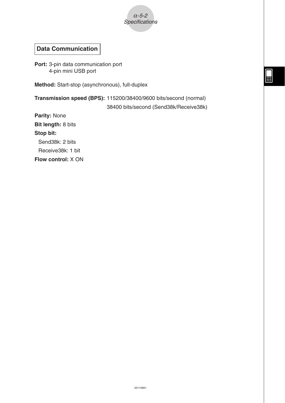

#### **Data Communication**

**Port:** 3-pin data communication port 4-pin mini USB port

**Method:** Start-stop (asynchronous), full-duplex

**Transmission speed (BPS):** 115200/38400/9600 bits/second (normal) 38400 bits/second (Send38k/Receive38k)

**Parity:** None **Bit length:** 8 bits **Stop bit:**

Send38k: 2 bits

Receive38k: 1 bit

**Flow control:** X ON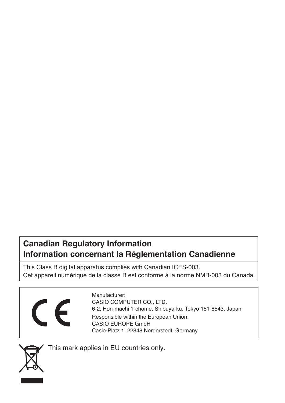### **Canadian Regulatory Information Information concernant la Réglementation Canadienne**

This Class B digital apparatus complies with Canadian ICES-003. Cet appareil numérique de la classe B est conforme à la norme NMB-003 du Canada.



Manufacturer: CASIO COMPUTER CO., LTD. 6-2, Hon-machi 1-chome, Shibuya-ku, Tokyo 151-8543, Japan Responsible within the European Union: CASIO EUROPE GmbH Casio-Platz 1, 22848 Norderstedt, Germany



This mark applies in EU countries only.